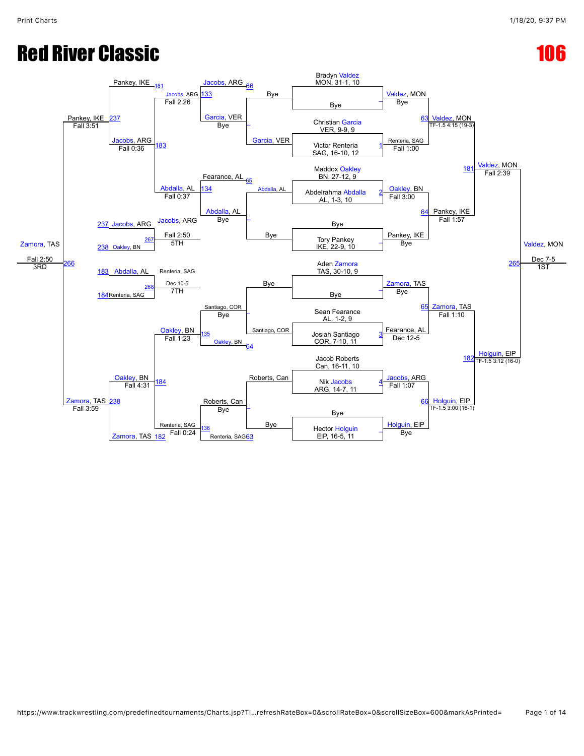# **Red River Classic 2008 Red River Classic**

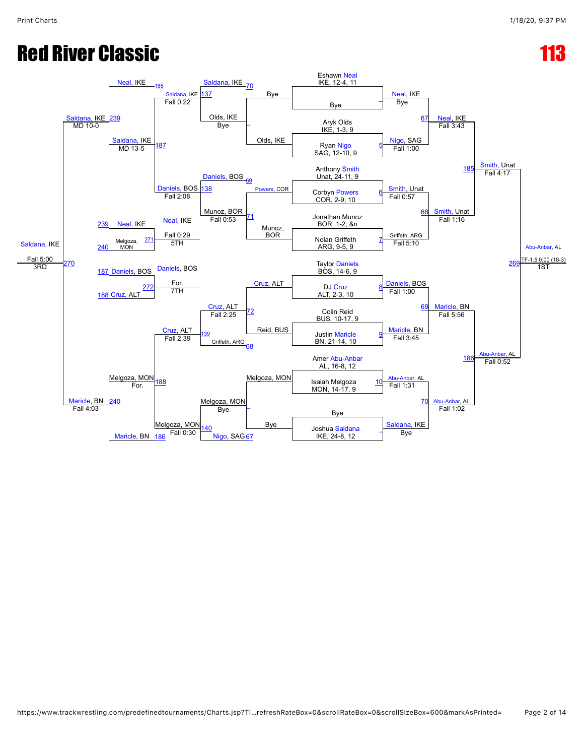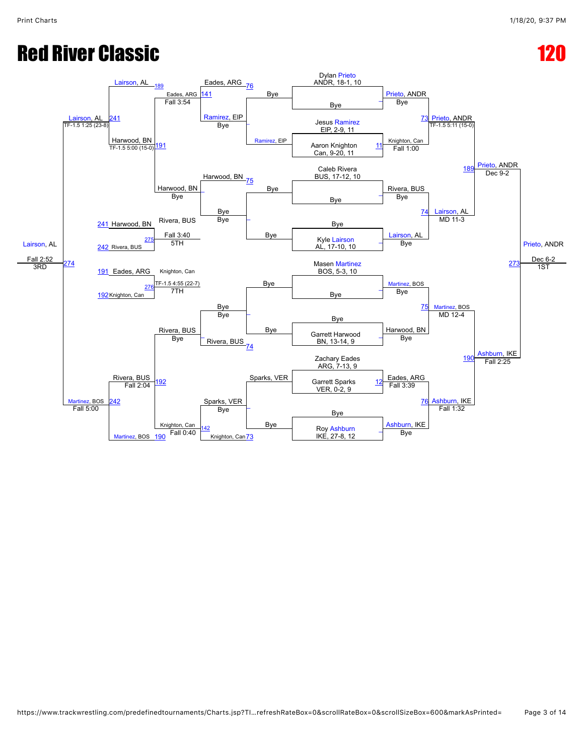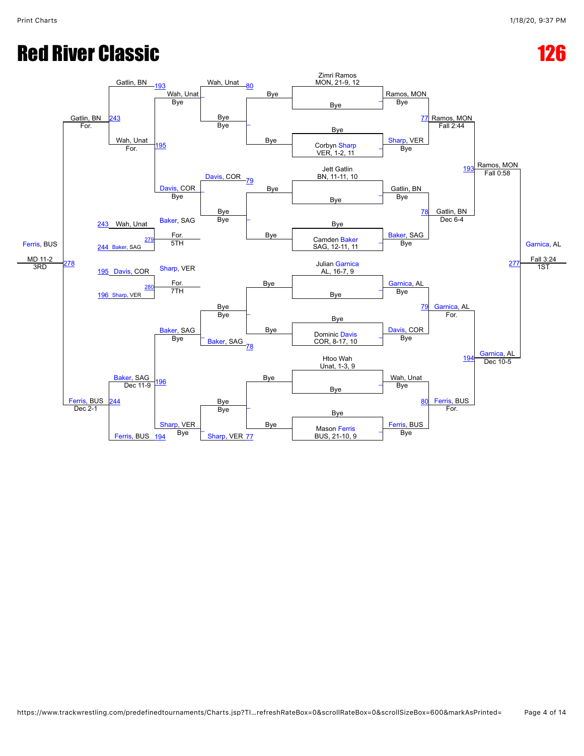# **Red River Classic 2008 126 2008 126 2008 126 2008 126 2008 126 2008 126 2008 126 2008 126 2008 126 2008 126 20**

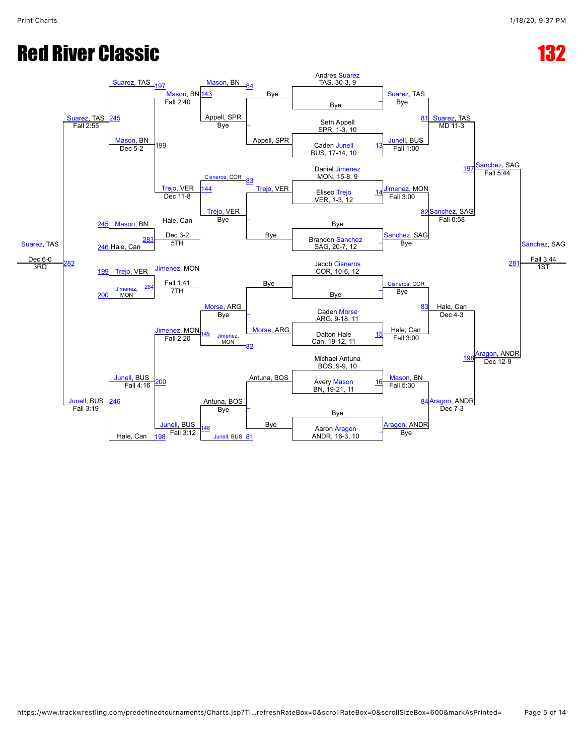## **Red River Classic 232 (132)**

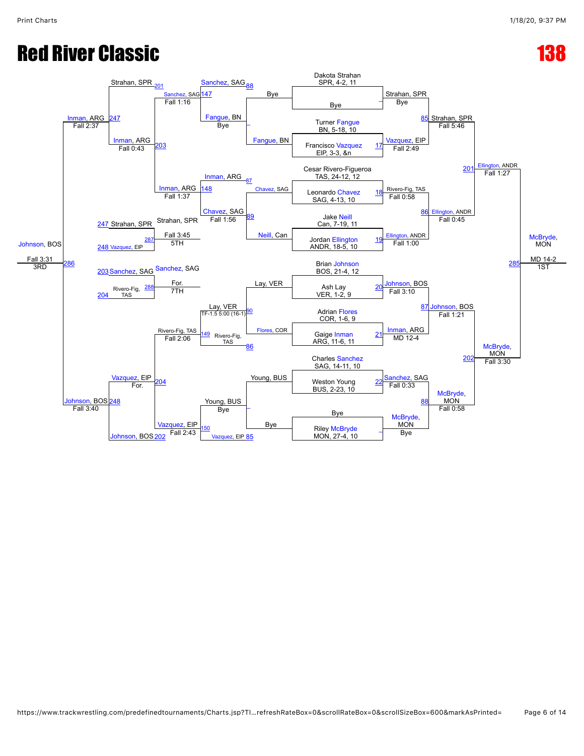# **Red River Classic 238 (138)**

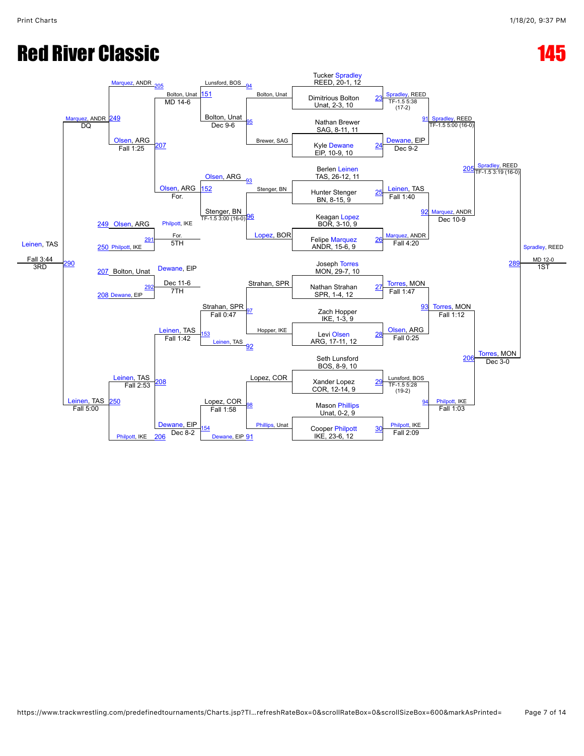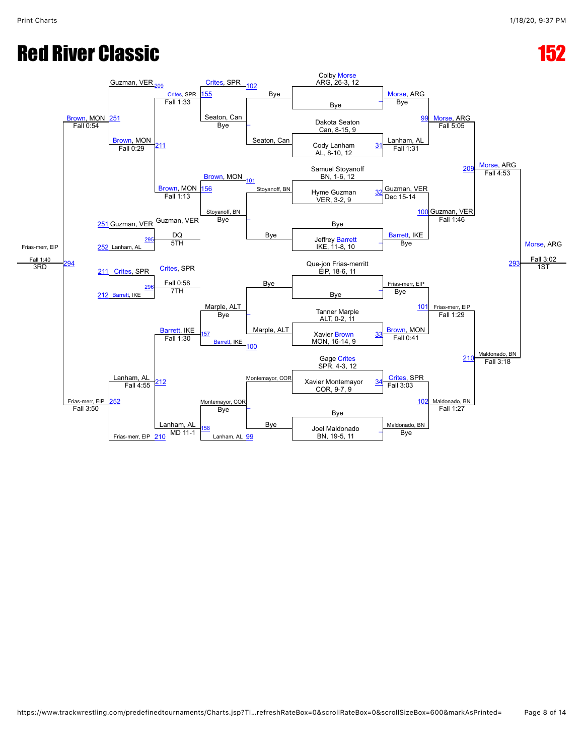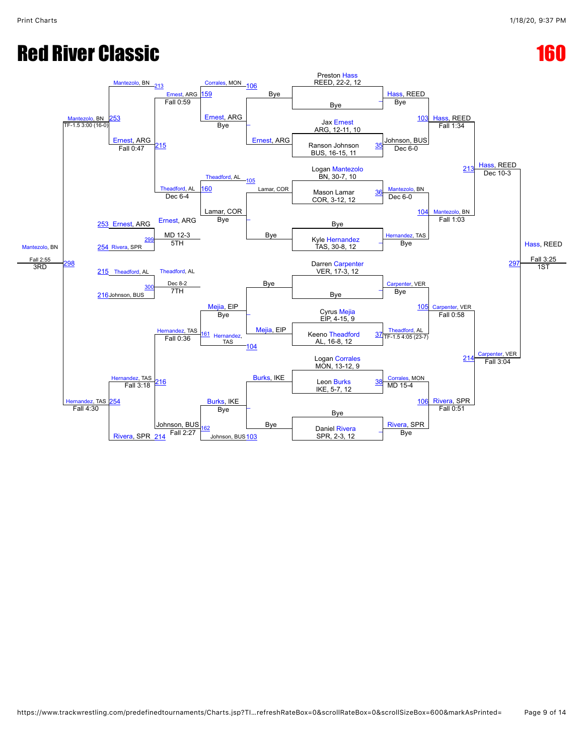# **Red River Classic 2008 160 and 2008 160 and 2008 160 and 2008 160 and 2008 160 and 2008 160 and 2008 160 and 2008 160 and 2008 160 and 2008 160 and 2008 160 and 2008 160 and 2008 160 and 2008 160 and 2008 160 and 2008 160**

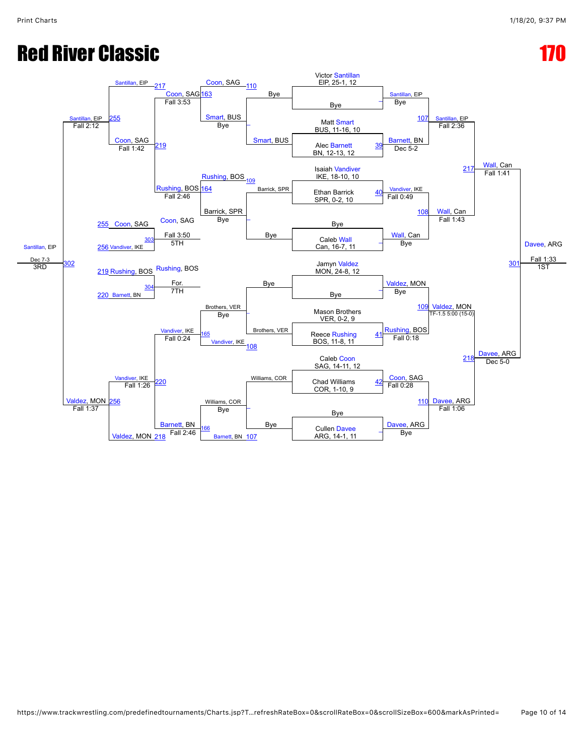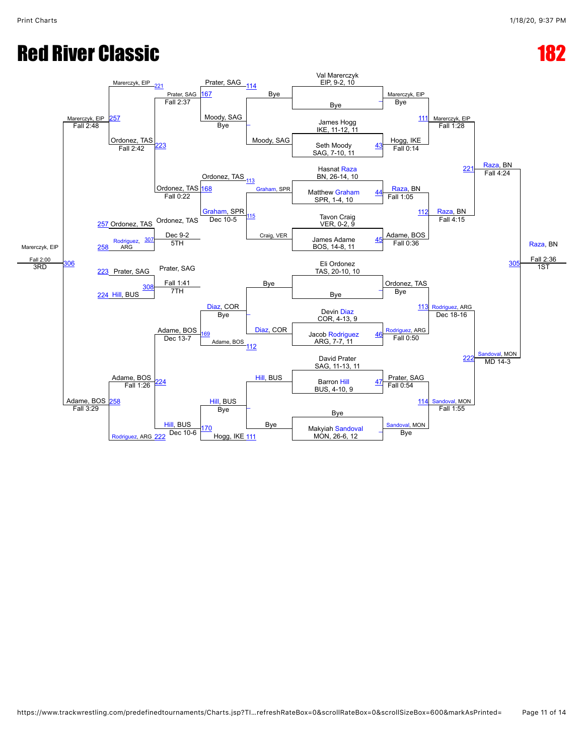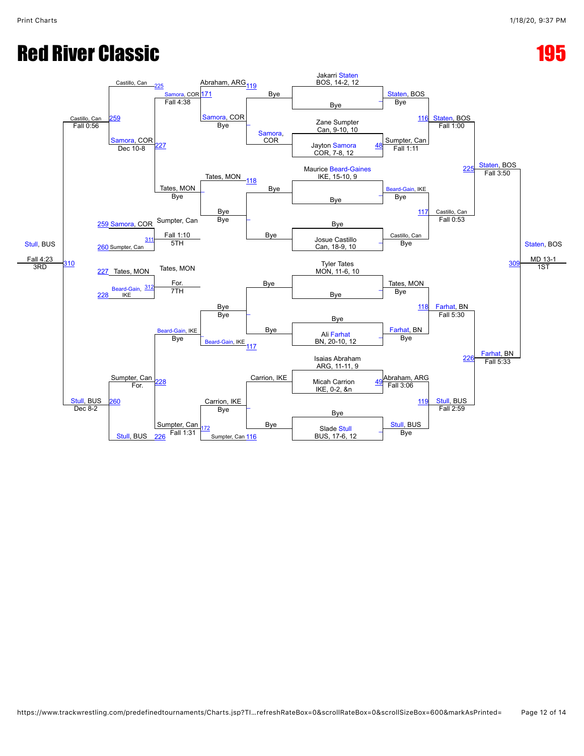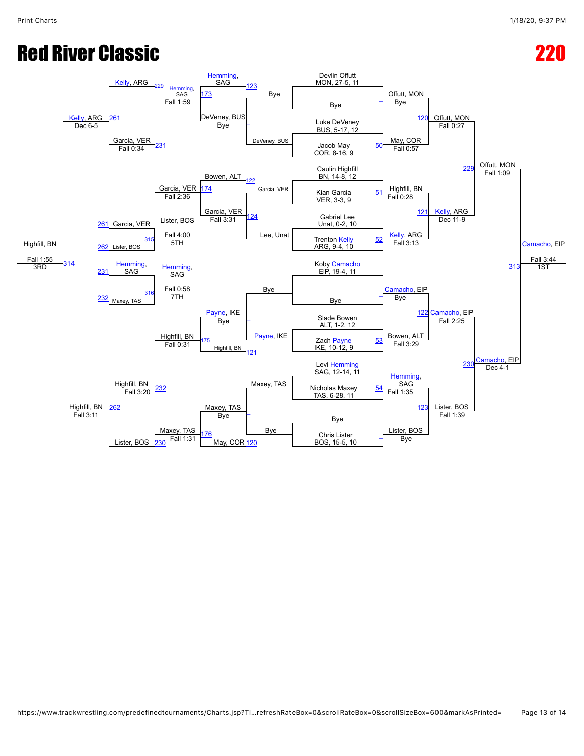